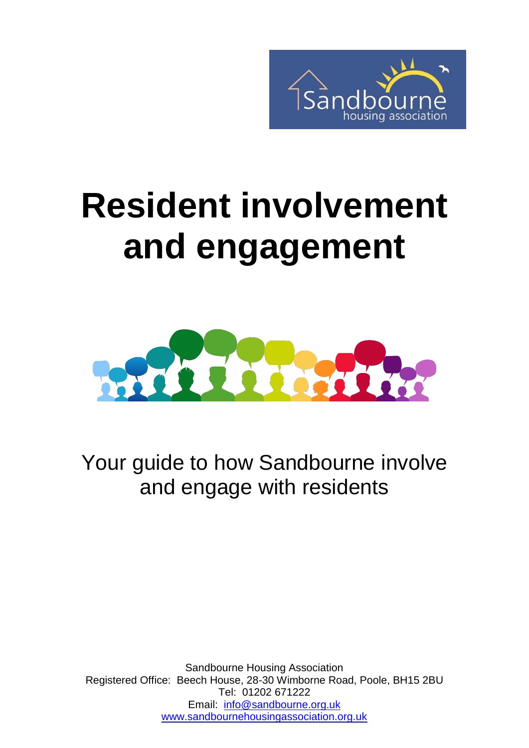

# **Resident involvement and engagement**



Your guide to how Sandbourne involve and engage with residents

Sandbourne Housing Association Registered Office: Beech House, 28-30 Wimborne Road, Poole, BH15 2BU Tel: 01202 671222 Email: [info@sandbourne.org.uk](mailto:info@sandbourne.org.uk) [www.sandbournehousingassociation.org.uk](http://www.sandbournehousingassociation.org.uk/)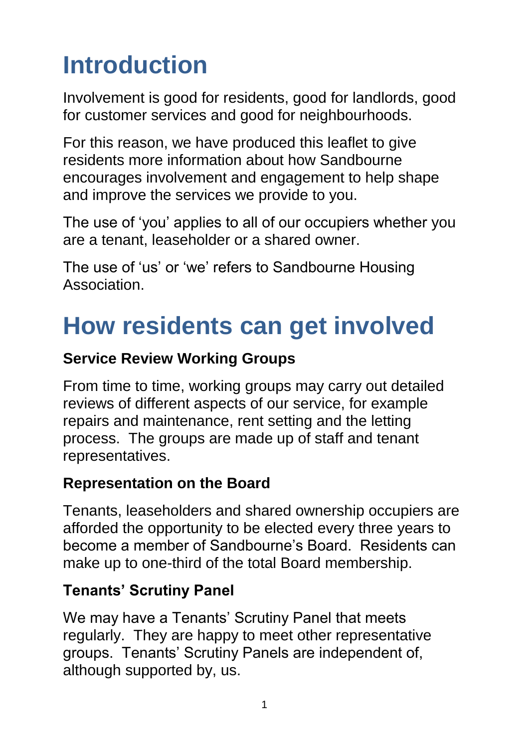# **Introduction**

Involvement is good for residents, good for landlords, good for customer services and good for neighbourhoods.

For this reason, we have produced this leaflet to give residents more information about how Sandbourne encourages involvement and engagement to help shape and improve the services we provide to you.

The use of 'you' applies to all of our occupiers whether you are a tenant, leaseholder or a shared owner.

The use of 'us' or 'we' refers to Sandbourne Housing Association.

### **How residents can get involved**

#### **Service Review Working Groups**

From time to time, working groups may carry out detailed reviews of different aspects of our service, for example repairs and maintenance, rent setting and the letting process. The groups are made up of staff and tenant representatives.

#### **Representation on the Board**

Tenants, leaseholders and shared ownership occupiers are afforded the opportunity to be elected every three years to become a member of Sandbourne's Board. Residents can make up to one-third of the total Board membership.

#### **Tenants' Scrutiny Panel**

We may have a Tenants' Scrutiny Panel that meets regularly. They are happy to meet other representative groups. Tenants' Scrutiny Panels are independent of, although supported by, us.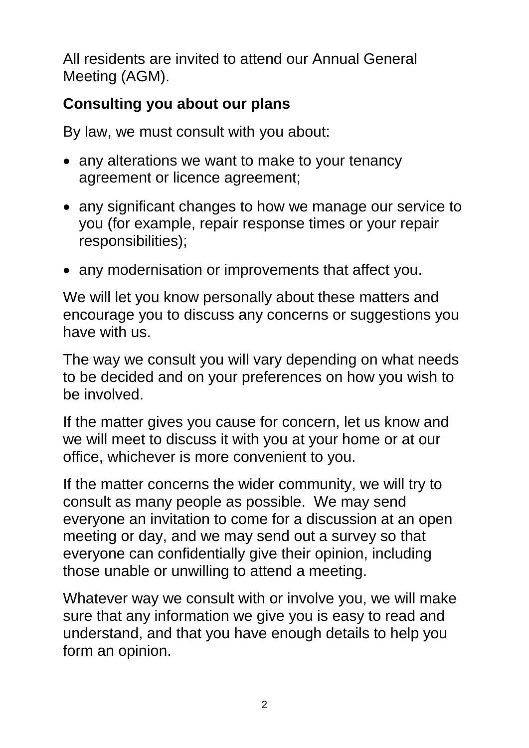All residents are invited to attend our Annual General Meeting (AGM).

#### **Consulting you about our plans**

By law, we must consult with you about:

- any alterations we want to make to your tenancy agreement or licence agreement;
- any significant changes to how we manage our service to you (for example, repair response times or your repair responsibilities);
- any modernisation or improvements that affect you.

We will let you know personally about these matters and encourage you to discuss any concerns or suggestions you have with us.

The way we consult you will vary depending on what needs to be decided and on your preferences on how you wish to be involved.

If the matter gives you cause for concern, let us know and we will meet to discuss it with you at your home or at our office, whichever is more convenient to you.

If the matter concerns the wider community, we will try to consult as many people as possible. We may send everyone an invitation to come for a discussion at an open meeting or day, and we may send out a survey so that everyone can confidentially give their opinion, including those unable or unwilling to attend a meeting.

Whatever way we consult with or involve you, we will make sure that any information we give you is easy to read and understand, and that you have enough details to help you form an opinion.